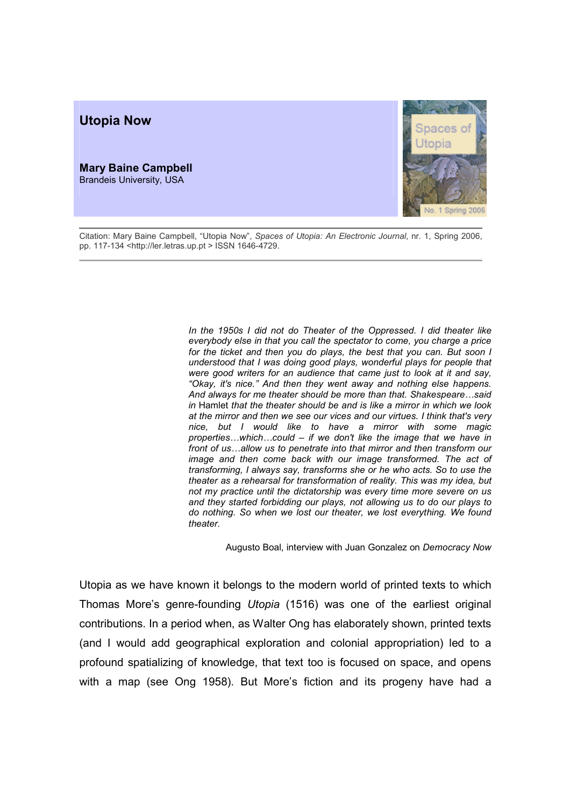## Utopia Now

Mary Baine Campbell Brandeis University, USA



Citation: Mary Baine Campbell, "Utopia Now", Spaces of Utopia: An Electronic Journal, nr. 1, Spring 2006, pp. 117-134 <http://ler.letras.up.pt > ISSN 1646-4729.

> In the 1950s I did not do Theater of the Oppressed. I did theater like everybody else in that you call the spectator to come, you charge a price for the ticket and then you do plays, the best that you can. But soon I understood that I was doing good plays, wonderful plays for people that were good writers for an audience that came just to look at it and say, "Okay, it's nice." And then they went away and nothing else happens. And always for me theater should be more than that. Shakespeare…said in Hamlet that the theater should be and is like a mirror in which we look at the mirror and then we see our vices and our virtues. I think that's very nice, but I would like to have a mirror with some magic properties…which…could – if we don't like the image that we have in front of us…allow us to penetrate into that mirror and then transform our image and then come back with our image transformed. The act of transforming, I always say, transforms she or he who acts. So to use the theater as a rehearsal for transformation of reality. This was my idea, but not my practice until the dictatorship was every time more severe on us and they started forbidding our plays, not allowing us to do our plays to do nothing. So when we lost our theater, we lost everything. We found theater.

> > Augusto Boal, interview with Juan Gonzalez on Democracy Now

Utopia as we have known it belongs to the modern world of printed texts to which Thomas More's genre-founding Utopia (1516) was one of the earliest original contributions. In a period when, as Walter Ong has elaborately shown, printed texts (and I would add geographical exploration and colonial appropriation) led to a profound spatializing of knowledge, that text too is focused on space, and opens with a map (see Ong 1958). But More's fiction and its progeny have had a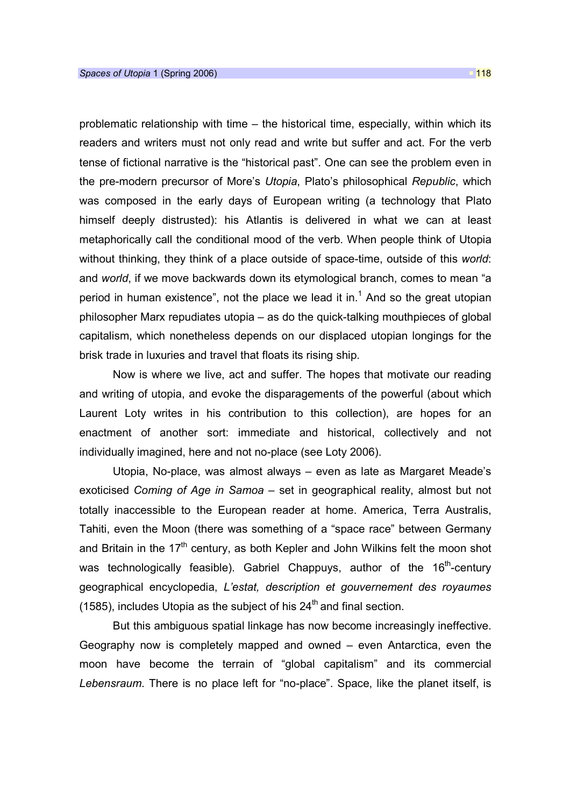problematic relationship with time – the historical time, especially, within which its readers and writers must not only read and write but suffer and act. For the verb tense of fictional narrative is the "historical past". One can see the problem even in the pre-modern precursor of More's Utopia, Plato's philosophical Republic, which was composed in the early days of European writing (a technology that Plato himself deeply distrusted): his Atlantis is delivered in what we can at least metaphorically call the conditional mood of the verb. When people think of Utopia without thinking, they think of a place outside of space-time, outside of this world: and world, if we move backwards down its etymological branch, comes to mean "a period in human existence", not the place we lead it in.<sup>1</sup> And so the great utopian philosopher Marx repudiates utopia – as do the quick-talking mouthpieces of global capitalism, which nonetheless depends on our displaced utopian longings for the brisk trade in luxuries and travel that floats its rising ship.

Now is where we live, act and suffer. The hopes that motivate our reading and writing of utopia, and evoke the disparagements of the powerful (about which Laurent Loty writes in his contribution to this collection), are hopes for an enactment of another sort: immediate and historical, collectively and not individually imagined, here and not no-place (see Loty 2006).

Utopia, No-place, was almost always – even as late as Margaret Meade's exoticised Coming of Age in Samoa – set in geographical reality, almost but not totally inaccessible to the European reader at home. America, Terra Australis, Tahiti, even the Moon (there was something of a "space race" between Germany and Britain in the  $17<sup>th</sup>$  century, as both Kepler and John Wilkins felt the moon shot was technologically feasible). Gabriel Chappuys, author of the 16<sup>th</sup>-century geographical encyclopedia, L'estat, description et gouvernement des royaumes (1585), includes Utopia as the subiect of his  $24<sup>th</sup>$  and final section.

But this ambiguous spatial linkage has now become increasingly ineffective. Geography now is completely mapped and owned – even Antarctica, even the moon have become the terrain of "global capitalism" and its commercial Lebensraum. There is no place left for "no-place". Space, like the planet itself, is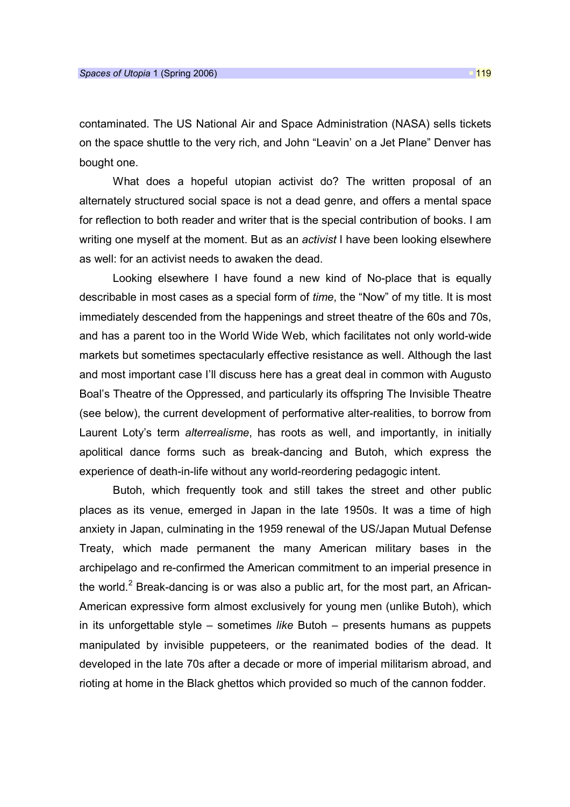contaminated. The US National Air and Space Administration (NASA) sells tickets on the space shuttle to the very rich, and John "Leavin' on a Jet Plane" Denver has bought one.

What does a hopeful utopian activist do? The written proposal of an alternately structured social space is not a dead genre, and offers a mental space for reflection to both reader and writer that is the special contribution of books. I am writing one myself at the moment. But as an *activist* I have been looking elsewhere as well: for an activist needs to awaken the dead.

Looking elsewhere I have found a new kind of No-place that is equally describable in most cases as a special form of time, the "Now" of my title. It is most immediately descended from the happenings and street theatre of the 60s and 70s, and has a parent too in the World Wide Web, which facilitates not only world-wide markets but sometimes spectacularly effective resistance as well. Although the last and most important case I'll discuss here has a great deal in common with Augusto Boal's Theatre of the Oppressed, and particularly its offspring The Invisible Theatre (see below), the current development of performative alter-realities, to borrow from Laurent Loty's term *alterrealisme*, has roots as well, and importantly, in initially apolitical dance forms such as break-dancing and Butoh, which express the experience of death-in-life without any world-reordering pedagogic intent.

Butoh, which frequently took and still takes the street and other public places as its venue, emerged in Japan in the late 1950s. It was a time of high anxiety in Japan, culminating in the 1959 renewal of the US/Japan Mutual Defense Treaty, which made permanent the many American military bases in the archipelago and re-confirmed the American commitment to an imperial presence in the world.<sup>2</sup> Break-dancing is or was also a public art, for the most part, an African-American expressive form almost exclusively for young men (unlike Butoh), which in its unforgettable style – sometimes *like* Butoh – presents humans as puppets manipulated by invisible puppeteers, or the reanimated bodies of the dead. It developed in the late 70s after a decade or more of imperial militarism abroad, and rioting at home in the Black ghettos which provided so much of the cannon fodder.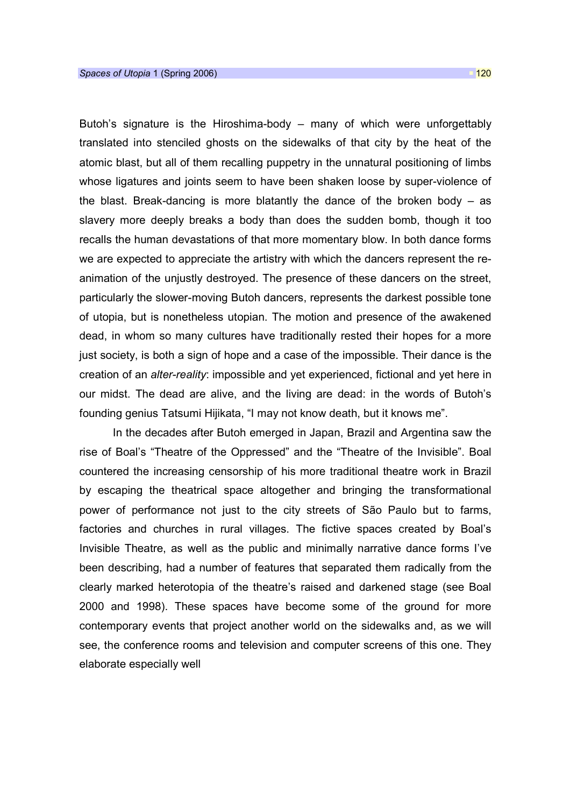Butoh's signature is the Hiroshima-body – many of which were unforgettably translated into stenciled ghosts on the sidewalks of that city by the heat of the atomic blast, but all of them recalling puppetry in the unnatural positioning of limbs whose ligatures and joints seem to have been shaken loose by super-violence of the blast. Break-dancing is more blatantly the dance of the broken body  $-$  as slavery more deeply breaks a body than does the sudden bomb, though it too recalls the human devastations of that more momentary blow. In both dance forms we are expected to appreciate the artistry with which the dancers represent the reanimation of the unjustly destroyed. The presence of these dancers on the street, particularly the slower-moving Butoh dancers, represents the darkest possible tone of utopia, but is nonetheless utopian. The motion and presence of the awakened dead, in whom so many cultures have traditionally rested their hopes for a more just society, is both a sign of hope and a case of the impossible. Their dance is the creation of an alter-reality: impossible and yet experienced, fictional and yet here in our midst. The dead are alive, and the living are dead: in the words of Butoh's founding genius Tatsumi Hijikata, "I may not know death, but it knows me".

In the decades after Butoh emerged in Japan, Brazil and Argentina saw the rise of Boal's "Theatre of the Oppressed" and the "Theatre of the Invisible". Boal countered the increasing censorship of his more traditional theatre work in Brazil by escaping the theatrical space altogether and bringing the transformational power of performance not just to the city streets of São Paulo but to farms, factories and churches in rural villages. The fictive spaces created by Boal's Invisible Theatre, as well as the public and minimally narrative dance forms I've been describing, had a number of features that separated them radically from the clearly marked heterotopia of the theatre's raised and darkened stage (see Boal 2000 and 1998). These spaces have become some of the ground for more contemporary events that project another world on the sidewalks and, as we will see, the conference rooms and television and computer screens of this one. They elaborate especially well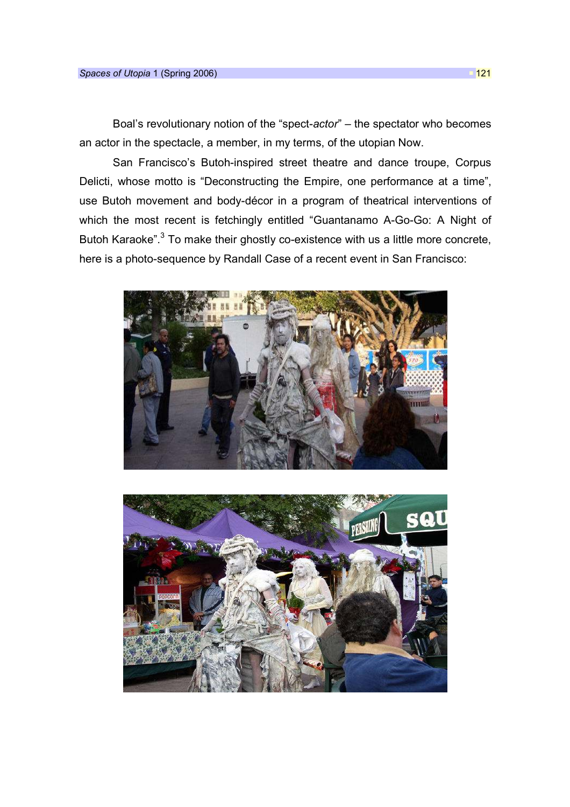Boal's revolutionary notion of the "spect-actor" – the spectator who becomes an actor in the spectacle, a member, in my terms, of the utopian Now.

San Francisco's Butoh-inspired street theatre and dance troupe, Corpus Delicti, whose motto is "Deconstructing the Empire, one performance at a time", use Butoh movement and body-décor in a program of theatrical interventions of which the most recent is fetchingly entitled "Guantanamo A-Go-Go: A Night of Butoh Karaoke".<sup>3</sup> To make their ghostly co-existence with us a little more concrete, here is a photo-sequence by Randall Case of a recent event in San Francisco:



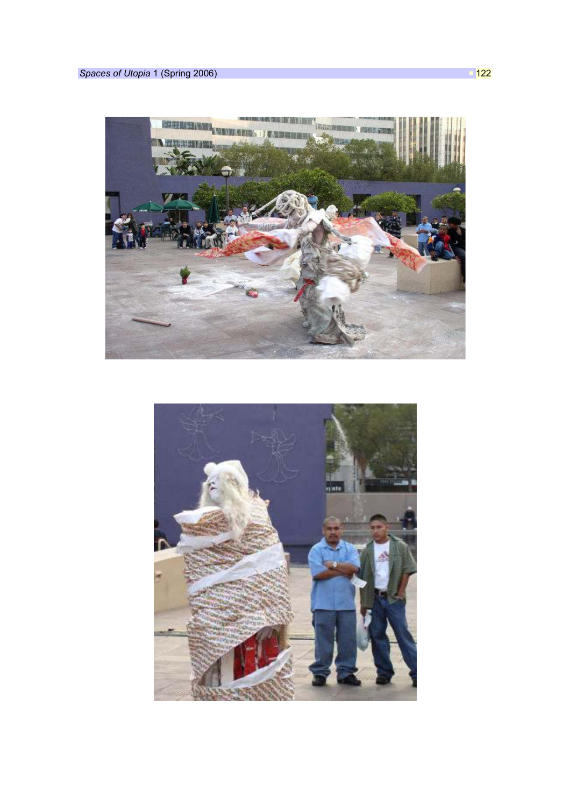

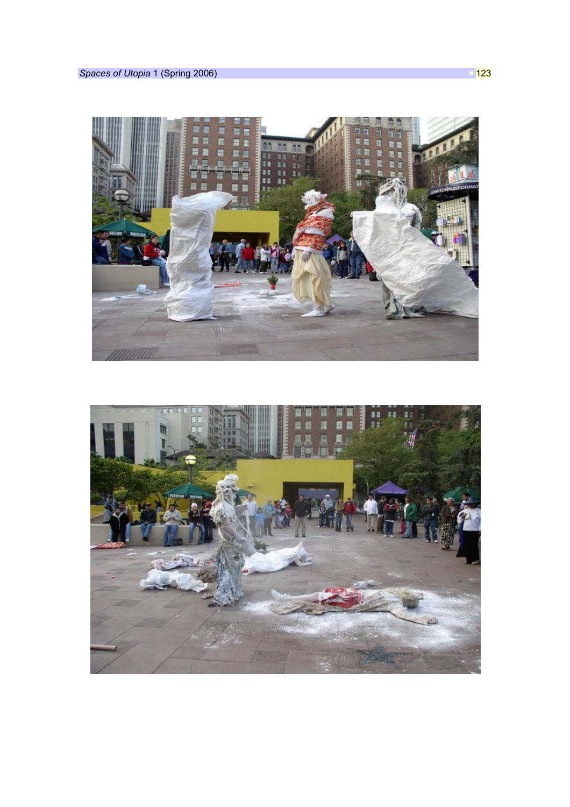

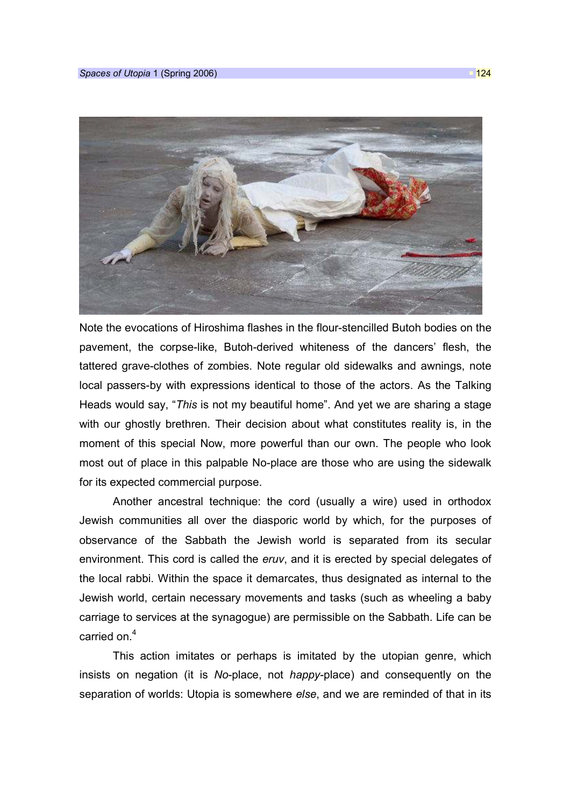

Note the evocations of Hiroshima flashes in the flour-stencilled Butoh bodies on the pavement, the corpse-like, Butoh-derived whiteness of the dancers' flesh, the tattered grave-clothes of zombies. Note regular old sidewalks and awnings, note local passers-by with expressions identical to those of the actors. As the Talking Heads would say, "This is not my beautiful home". And yet we are sharing a stage with our ghostly brethren. Their decision about what constitutes reality is, in the moment of this special Now, more powerful than our own. The people who look most out of place in this palpable No-place are those who are using the sidewalk for its expected commercial purpose.

Another ancestral technique: the cord (usually a wire) used in orthodox Jewish communities all over the diasporic world by which, for the purposes of observance of the Sabbath the Jewish world is separated from its secular environment. This cord is called the eruv, and it is erected by special delegates of the local rabbi. Within the space it demarcates, thus designated as internal to the Jewish world, certain necessary movements and tasks (such as wheeling a baby carriage to services at the synagogue) are permissible on the Sabbath. Life can be carried on. $4$ 

This action imitates or perhaps is imitated by the utopian genre, which insists on negation (it is No-place, not happy-place) and consequently on the separation of worlds: Utopia is somewhere else, and we are reminded of that in its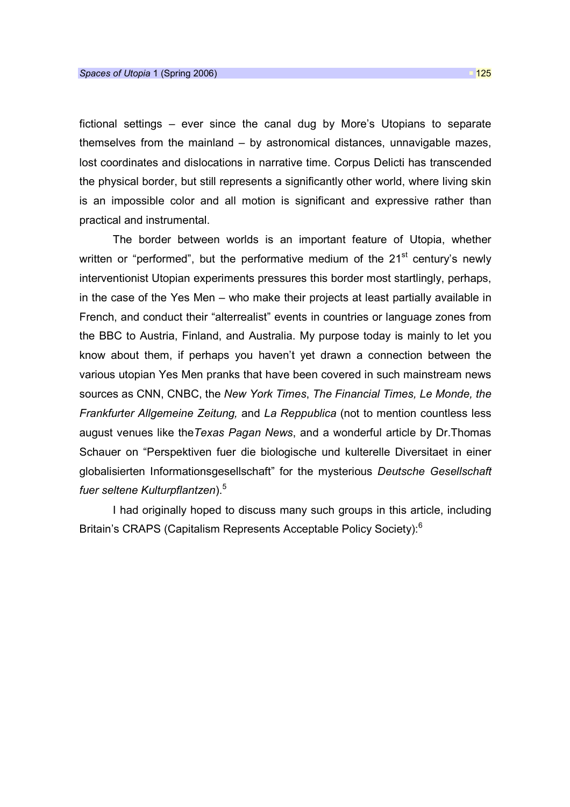fictional settings – ever since the canal dug by More's Utopians to separate themselves from the mainland – by astronomical distances, unnavigable mazes, lost coordinates and dislocations in narrative time. Corpus Delicti has transcended the physical border, but still represents a significantly other world, where living skin is an impossible color and all motion is significant and expressive rather than practical and instrumental.

The border between worlds is an important feature of Utopia, whether written or "performed", but the performative medium of the 21<sup>st</sup> century's newly interventionist Utopian experiments pressures this border most startlingly, perhaps, in the case of the Yes Men – who make their projects at least partially available in French, and conduct their "alterrealist" events in countries or language zones from the BBC to Austria, Finland, and Australia. My purpose today is mainly to let you know about them, if perhaps you haven't yet drawn a connection between the various utopian Yes Men pranks that have been covered in such mainstream news sources as CNN, CNBC, the New York Times, The Financial Times, Le Monde, the Frankfurter Allgemeine Zeitung, and La Reppublica (not to mention countless less august venues like theTexas Pagan News, and a wonderful article by Dr.Thomas Schauer on "Perspektiven fuer die biologische und kulterelle Diversitaet in einer globalisierten Informationsgesellschaft" for the mysterious Deutsche Gesellschaft fuer seltene Kulturpflantzen).<sup>5</sup>

I had originally hoped to discuss many such groups in this article, including Britain's CRAPS (Capitalism Represents Acceptable Policy Society):<sup>6</sup>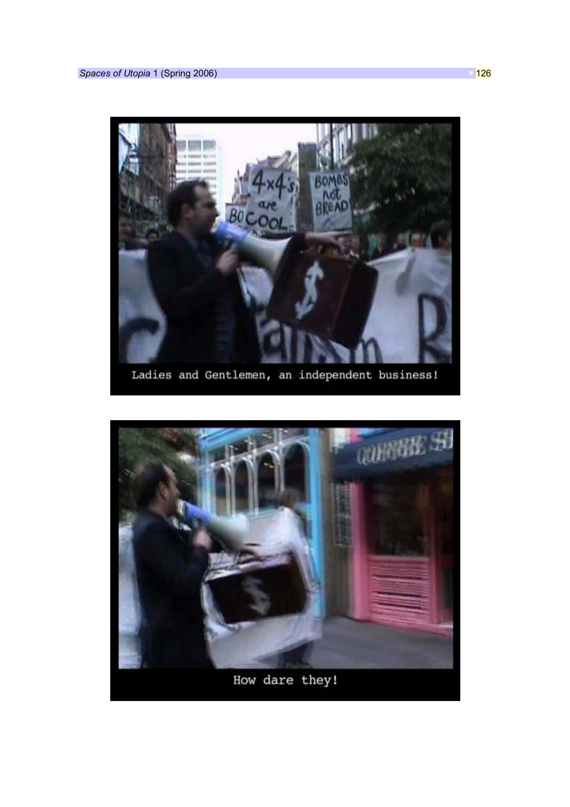

Ladies and Gentlemen, an independent business!

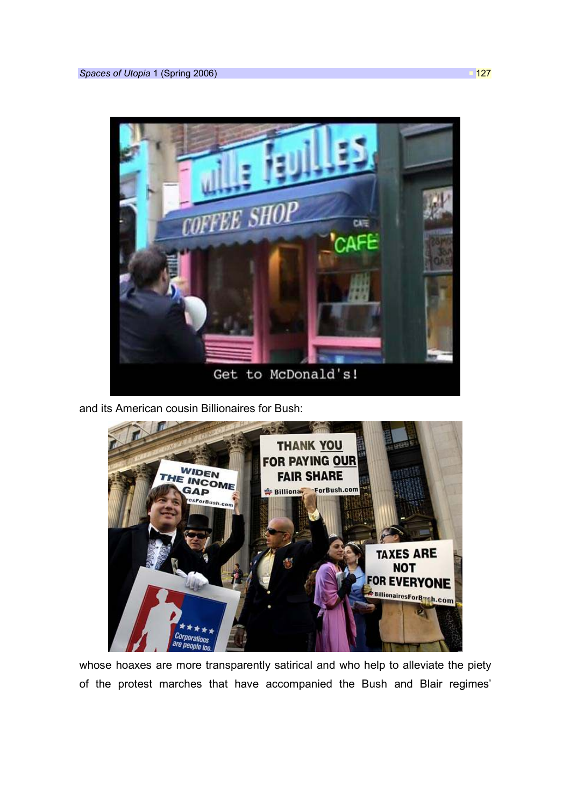

and its American cousin Billionaires for Bush:



whose hoaxes are more transparently satirical and who help to alleviate the piety of the protest marches that have accompanied the Bush and Blair regimes'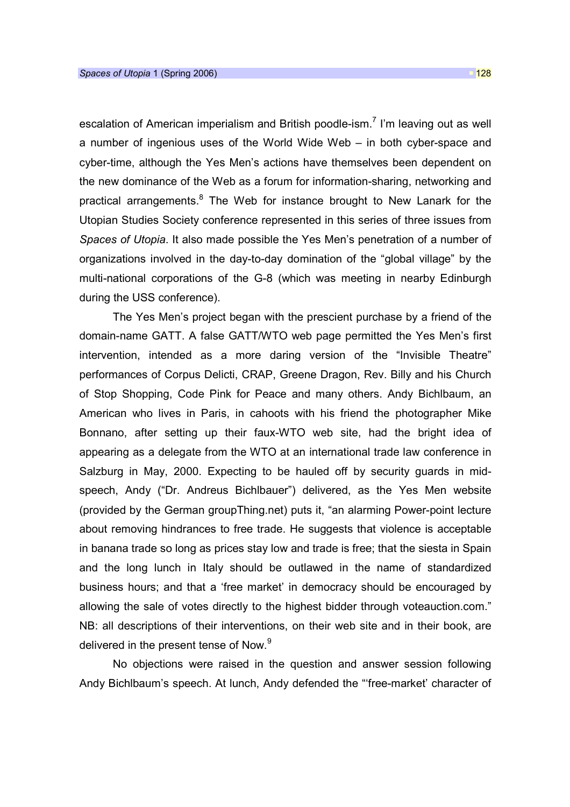escalation of American imperialism and British poodle-ism.<sup>7</sup> I'm leaving out as well a number of ingenious uses of the World Wide Web – in both cyber-space and cyber-time, although the Yes Men's actions have themselves been dependent on the new dominance of the Web as a forum for information-sharing, networking and practical arrangements.<sup>8</sup> The Web for instance brought to New Lanark for the Utopian Studies Society conference represented in this series of three issues from Spaces of Utopia. It also made possible the Yes Men's penetration of a number of organizations involved in the day-to-day domination of the "global village" by the multi-national corporations of the G-8 (which was meeting in nearby Edinburgh during the USS conference).

The Yes Men's project began with the prescient purchase by a friend of the domain-name GATT. A false GATT/WTO web page permitted the Yes Men's first intervention, intended as a more daring version of the "Invisible Theatre" performances of Corpus Delicti, CRAP, Greene Dragon, Rev. Billy and his Church of Stop Shopping, Code Pink for Peace and many others. Andy Bichlbaum, an American who lives in Paris, in cahoots with his friend the photographer Mike Bonnano, after setting up their faux-WTO web site, had the bright idea of appearing as a delegate from the WTO at an international trade law conference in Salzburg in May, 2000. Expecting to be hauled off by security guards in midspeech, Andy ("Dr. Andreus Bichlbauer") delivered, as the Yes Men website (provided by the German groupThing.net) puts it, "an alarming Power-point lecture about removing hindrances to free trade. He suggests that violence is acceptable in banana trade so long as prices stay low and trade is free; that the siesta in Spain and the long lunch in Italy should be outlawed in the name of standardized business hours; and that a 'free market' in democracy should be encouraged by allowing the sale of votes directly to the highest bidder through voteauction.com." NB: all descriptions of their interventions, on their web site and in their book, are delivered in the present tense of Now.<sup>9</sup>

No objections were raised in the question and answer session following Andy Bichlbaum's speech. At lunch, Andy defended the "'free-market' character of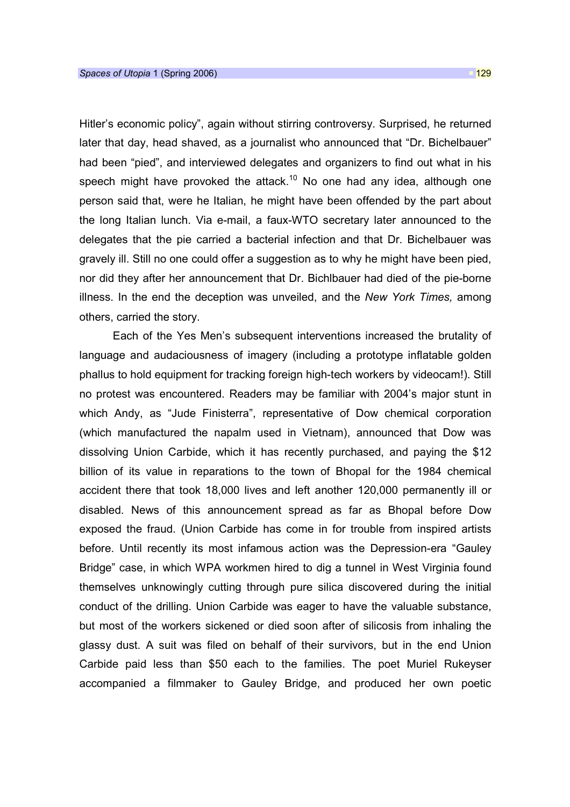Hitler's economic policy", again without stirring controversy. Surprised, he returned later that day, head shaved, as a journalist who announced that "Dr. Bichelbauer" had been "pied", and interviewed delegates and organizers to find out what in his speech might have provoked the attack.<sup>10</sup> No one had any idea, although one person said that, were he Italian, he might have been offended by the part about the long Italian lunch. Via e-mail, a faux-WTO secretary later announced to the delegates that the pie carried a bacterial infection and that Dr. Bichelbauer was gravely ill. Still no one could offer a suggestion as to why he might have been pied, nor did they after her announcement that Dr. Bichlbauer had died of the pie-borne illness. In the end the deception was unveiled, and the New York Times, among others, carried the story.

Each of the Yes Men's subsequent interventions increased the brutality of language and audaciousness of imagery (including a prototype inflatable golden phallus to hold equipment for tracking foreign high-tech workers by videocam!). Still no protest was encountered. Readers may be familiar with 2004's major stunt in which Andy, as "Jude Finisterra", representative of Dow chemical corporation (which manufactured the napalm used in Vietnam), announced that Dow was dissolving Union Carbide, which it has recently purchased, and paying the \$12 billion of its value in reparations to the town of Bhopal for the 1984 chemical accident there that took 18,000 lives and left another 120,000 permanently ill or disabled. News of this announcement spread as far as Bhopal before Dow exposed the fraud. (Union Carbide has come in for trouble from inspired artists before. Until recently its most infamous action was the Depression-era "Gauley Bridge" case, in which WPA workmen hired to dig a tunnel in West Virginia found themselves unknowingly cutting through pure silica discovered during the initial conduct of the drilling. Union Carbide was eager to have the valuable substance, but most of the workers sickened or died soon after of silicosis from inhaling the glassy dust. A suit was filed on behalf of their survivors, but in the end Union Carbide paid less than \$50 each to the families. The poet Muriel Rukeyser accompanied a filmmaker to Gauley Bridge, and produced her own poetic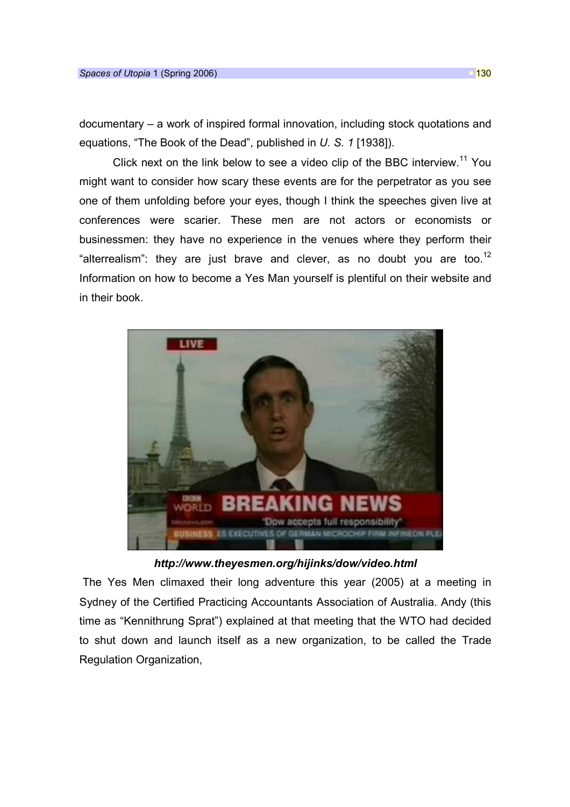documentary – a work of inspired formal innovation, including stock quotations and equations, "The Book of the Dead", published in U. S. 1 [1938]).

Click next on the link below to see a video clip of the BBC interview.<sup>11</sup> You might want to consider how scary these events are for the perpetrator as you see one of them unfolding before your eyes, though I think the speeches given live at conferences were scarier. These men are not actors or economists or businessmen: they have no experience in the venues where they perform their "alterrealism": they are just brave and clever, as no doubt you are too.<sup>12</sup> Information on how to become a Yes Man yourself is plentiful on their website and in their book.



http://www.theyesmen.org/hijinks/dow/video.html

 The Yes Men climaxed their long adventure this year (2005) at a meeting in Sydney of the Certified Practicing Accountants Association of Australia. Andy (this time as "Kennithrung Sprat") explained at that meeting that the WTO had decided to shut down and launch itself as a new organization, to be called the Trade Regulation Organization,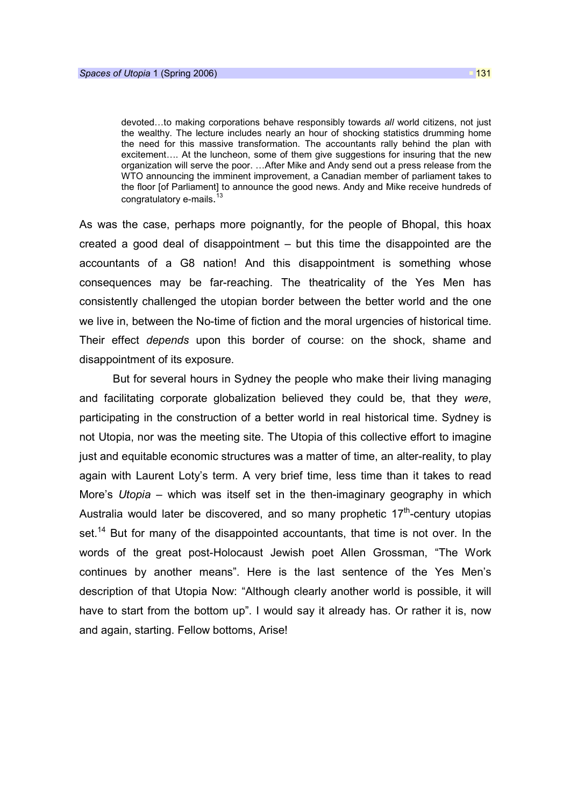devoted...to making corporations behave responsibly towards all world citizens, not just the wealthy. The lecture includes nearly an hour of shocking statistics drumming home the need for this massive transformation. The accountants rally behind the plan with excitement…. At the luncheon, some of them give suggestions for insuring that the new organization will serve the poor. …After Mike and Andy send out a press release from the WTO announcing the imminent improvement, a Canadian member of parliament takes to the floor [of Parliament] to announce the good news. Andy and Mike receive hundreds of congratulatory e-mails.<sup>13</sup>

As was the case, perhaps more poignantly, for the people of Bhopal, this hoax created a good deal of disappointment – but this time the disappointed are the accountants of a G8 nation! And this disappointment is something whose consequences may be far-reaching. The theatricality of the Yes Men has consistently challenged the utopian border between the better world and the one we live in, between the No-time of fiction and the moral urgencies of historical time. Their effect depends upon this border of course: on the shock, shame and disappointment of its exposure.

But for several hours in Sydney the people who make their living managing and facilitating corporate globalization believed they could be, that they were, participating in the construction of a better world in real historical time. Sydney is not Utopia, nor was the meeting site. The Utopia of this collective effort to imagine just and equitable economic structures was a matter of time, an alter-reality, to play again with Laurent Loty's term. A very brief time, less time than it takes to read More's Utopia – which was itself set in the then-imaginary geography in which Australia would later be discovered, and so many prophetic  $17<sup>th</sup>$ -century utopias set.<sup>14</sup> But for many of the disappointed accountants, that time is not over. In the words of the great post-Holocaust Jewish poet Allen Grossman, "The Work continues by another means". Here is the last sentence of the Yes Men's description of that Utopia Now: "Although clearly another world is possible, it will have to start from the bottom up". I would say it already has. Or rather it is, now and again, starting. Fellow bottoms, Arise!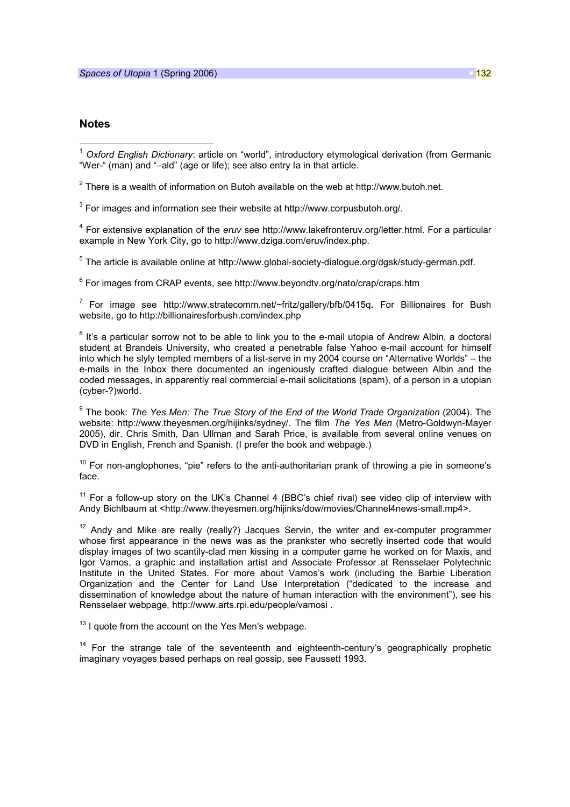## **Notes**

 $\overline{a}$ 

Oxford English Dictionary: article on "world", introductory etymological derivation (from Germanic "Wer-" (man) and "–ald" (age or life); see also entry Ia in that article.

 $2$  There is a wealth of information on Butoh available on the web at http://www.butoh.net.

 $3$  For images and information see their website at http://www.corpusbutoh.org/.

<sup>4</sup> For extensive explanation of the eruv see http://www.lakefronteruv.org/letter.html. For a particular example in New York City, go to http://www.dziga.com/eruv/index.php.

<sup>5</sup> The article is available online at http://www.global-society-dialogue.org/dgsk/study-german.pdf.

<sup>6</sup> For images from CRAP events, see http://www.beyondtv.org/nato/crap/craps.htm

<sup>7</sup> For image see http://www.stratecomm.net/~fritz/gallery/bfb/0415q. For Billionaires for Bush website, go to http://billionairesforbush.com/index.php

<sup>8</sup> It's a particular sorrow not to be able to link you to the e-mail utopia of Andrew Albin, a doctoral student at Brandeis University, who created a penetrable false Yahoo e-mail account for himself into which he slyly tempted members of a list-serve in my 2004 course on "Alternative Worlds" – the e-mails in the Inbox there documented an ingeniously crafted dialogue between Albin and the coded messages, in apparently real commercial e-mail solicitations (spam), of a person in a utopian (cyber-?)world.

 $^9$  The book: *The Yes Men: The True Story of the End of the World Trade Organization* (2004). The website: http://www.theyesmen.org/hijinks/sydney/. The film The Yes Men (Metro-Goldwyn-Mayer 2005), dir. Chris Smith, Dan Ullman and Sarah Price, is available from several online venues on DVD in English, French and Spanish. (I prefer the book and webpage.)

 $10$  For non-anglophones, "pie" refers to the anti-authoritarian prank of throwing a pie in someone's face.

 $11$  For a follow-up story on the UK's Channel 4 (BBC's chief rival) see video clip of interview with Andy Bichlbaum at <http://www.theyesmen.org/hijinks/dow/movies/Channel4news-small.mp4>.

 $12$  Andy and Mike are really (really?) Jacques Servin, the writer and ex-computer programmer whose first appearance in the news was as the prankster who secretly inserted code that would display images of two scantily-clad men kissing in a computer game he worked on for Maxis, and Igor Vamos, a graphic and installation artist and Associate Professor at Rensselaer Polytechnic Institute in the United States. For more about Vamos's work (including the Barbie Liberation Organization and the Center for Land Use Interpretation ("dedicated to the increase and dissemination of knowledge about the nature of human interaction with the environment"), see his Rensselaer webpage, http://www.arts.rpi.edu/people/vamosi .

 $13$  I quote from the account on the Yes Men's webpage.

 $14$  For the strange tale of the seventeenth and eighteenth-century's geographically prophetic imaginary voyages based perhaps on real gossip, see Faussett 1993.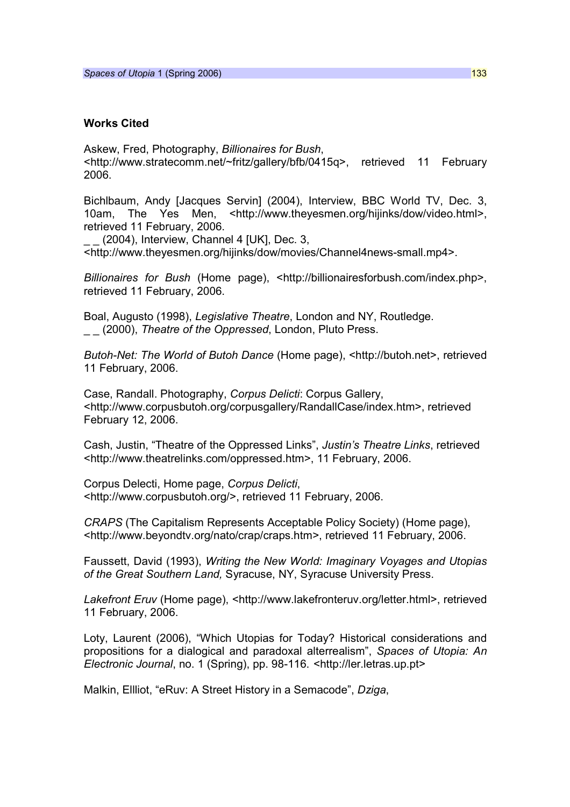## Works Cited

Askew, Fred, Photography, Billionaires for Bush, <http://www.stratecomm.net/~fritz/gallery/bfb/0415q>, retrieved 11 February 2006.

Bichlbaum, Andy [Jacques Servin] (2004), Interview, BBC World TV, Dec. 3, 10am, The Yes Men, <http://www.theyesmen.org/hijinks/dow/video.html>, retrieved 11 February, 2006.

 $(2004)$ , Interview, Channel 4 [UK], Dec. 3,

<http://www.theyesmen.org/hijinks/dow/movies/Channel4news-small.mp4>.

Billionaires for Bush (Home page), <http://billionairesforbush.com/index.php>, retrieved 11 February, 2006.

Boal, Augusto (1998), Legislative Theatre, London and NY, Routledge. (2000), Theatre of the Oppressed, London, Pluto Press.

Butoh-Net: The World of Butoh Dance (Home page), <http://butoh.net>, retrieved 11 February, 2006.

Case, Randall. Photography, Corpus Delicti: Corpus Gallery, <http://www.corpusbutoh.org/corpusgallery/RandallCase/index.htm>, retrieved February 12, 2006.

Cash, Justin, "Theatre of the Oppressed Links", Justin's Theatre Links, retrieved <http://www.theatrelinks.com/oppressed.htm>, 11 February, 2006.

Corpus Delecti, Home page, Corpus Delicti, <http://www.corpusbutoh.org/>, retrieved 11 February, 2006.

CRAPS (The Capitalism Represents Acceptable Policy Society) (Home page), <http://www.beyondtv.org/nato/crap/craps.htm>, retrieved 11 February, 2006.

Faussett, David (1993), Writing the New World: Imaginary Voyages and Utopias of the Great Southern Land, Syracuse, NY, Syracuse University Press.

Lakefront Eruv (Home page), <http://www.lakefronteruv.org/letter.html>, retrieved 11 February, 2006.

Loty, Laurent (2006), "Which Utopias for Today? Historical considerations and propositions for a dialogical and paradoxal alterrealism", Spaces of Utopia: An Electronic Journal, no. 1 (Spring), pp. 98-116. <http://ler.letras.up.pt>

Malkin, Ellliot, "eRuv: A Street History in a Semacode", Dziga,